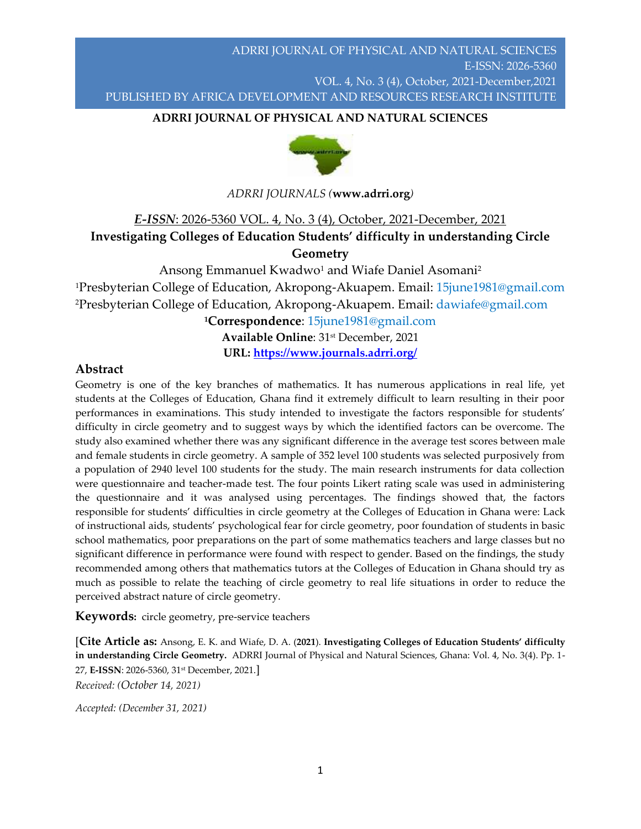## **ADRRI JOURNAL OF PHYSICAL AND NATURAL SCIENCES**



*ADRRI JOURNALS (***www.adrri.org***)*

# *E-ISSN*: 2026-5360 VOL. 4, No. 3 (4), October, 2021-December, 2021

## **Investigating Colleges of Education Students' difficulty in understanding Circle Geometry**

Ansong Emmanuel Kwadwo<sup>1</sup> and Wiafe Daniel Asomani<sup>2</sup> <sup>1</sup>Presbyterian College of Education, Akropong-Akuapem. Email: 15*june1981@gmail.com* <sup>2</sup>Presbyterian College of Education, Akropong-Akuapem. Email: dawiafe@gmail.com

**<sup>1</sup>Correspondence**: [15june1981@gmail.com](mailto:15june1981@gmail.com) **Available Online**: 31st December, 2021

**URL:<https://www.journals.adrri.org/>**

## **Abstract**

Geometry is one of the key branches of mathematics. It has numerous applications in real life, yet students at the Colleges of Education, Ghana find it extremely difficult to learn resulting in their poor performances in examinations. This study intended to investigate the factors responsible for students' difficulty in circle geometry and to suggest ways by which the identified factors can be overcome. The study also examined whether there was any significant difference in the average test scores between male and female students in circle geometry. A sample of 352 level 100 students was selected purposively from a population of 2940 level 100 students for the study. The main research instruments for data collection were questionnaire and teacher-made test. The four points Likert rating scale was used in administering the questionnaire and it was analysed using percentages. The findings showed that, the factors responsible for students' difficulties in circle geometry at the Colleges of Education in Ghana were: Lack of instructional aids, students' psychological fear for circle geometry, poor foundation of students in basic school mathematics, poor preparations on the part of some mathematics teachers and large classes but no significant difference in performance were found with respect to gender. Based on the findings, the study recommended among others that mathematics tutors at the Colleges of Education in Ghana should try as much as possible to relate the teaching of circle geometry to real life situations in order to reduce the perceived abstract nature of circle geometry.

**Keywords:** circle geometry, pre-service teachers

[**Cite Article as:** Ansong, E. K. and Wiafe, D. A. (**2021**). **Investigating Colleges of Education Students' difficulty in understanding Circle Geometry.** ADRRI Journal of Physical and Natural Sciences, Ghana: Vol. 4, No. 3(4). Pp. 1- 27, **E-ISSN**: 2026-5360, 31st December, 2021.] *Received: (October 14, 2021)*

*Accepted: (December 31, 2021)*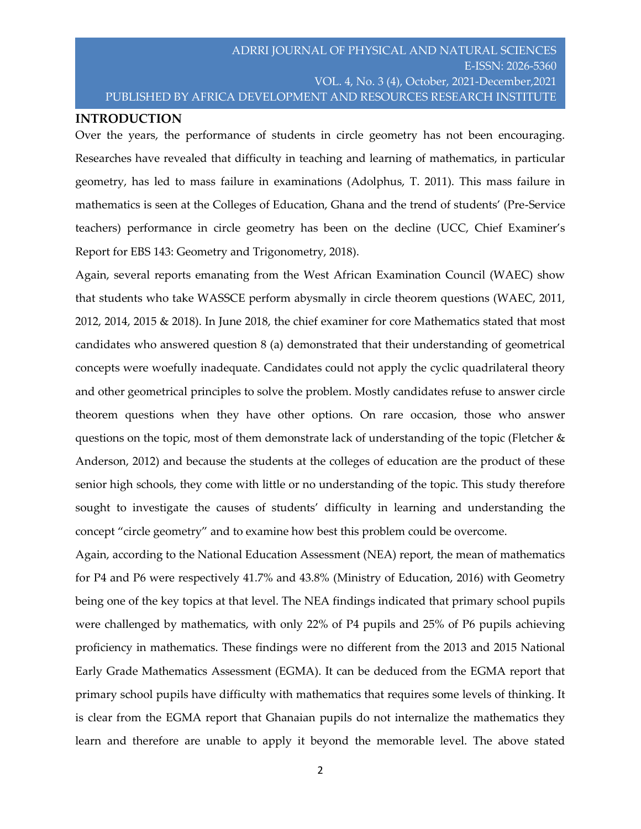#### **INTRODUCTION**

Over the years, the performance of students in circle geometry has not been encouraging. Researches have revealed that difficulty in teaching and learning of mathematics, in particular geometry, has led to mass failure in examinations (Adolphus, T. 2011). This mass failure in mathematics is seen at the Colleges of Education, Ghana and the trend of students' (Pre-Service teachers) performance in circle geometry has been on the decline (UCC, Chief Examiner's Report for EBS 143: Geometry and Trigonometry, 2018).

Again, several reports emanating from the West African Examination Council (WAEC) show that students who take WASSCE perform abysmally in circle theorem questions (WAEC, 2011, 2012, 2014, 2015 & 2018). In June 2018, the chief examiner for core Mathematics stated that most candidates who answered question 8 (a) demonstrated that their understanding of geometrical concepts were woefully inadequate. Candidates could not apply the cyclic quadrilateral theory and other geometrical principles to solve the problem. Mostly candidates refuse to answer circle theorem questions when they have other options. On rare occasion, those who answer questions on the topic, most of them demonstrate lack of understanding of the topic (Fletcher & Anderson, 2012) and because the students at the colleges of education are the product of these senior high schools, they come with little or no understanding of the topic. This study therefore sought to investigate the causes of students' difficulty in learning and understanding the concept "circle geometry" and to examine how best this problem could be overcome.

Again, according to the National Education Assessment (NEA) report, the mean of mathematics for P4 and P6 were respectively 41.7% and 43.8% (Ministry of Education, 2016) with Geometry being one of the key topics at that level. The NEA findings indicated that primary school pupils were challenged by mathematics, with only 22% of P4 pupils and 25% of P6 pupils achieving proficiency in mathematics. These findings were no different from the 2013 and 2015 National Early Grade Mathematics Assessment (EGMA). It can be deduced from the EGMA report that primary school pupils have difficulty with mathematics that requires some levels of thinking. It is clear from the EGMA report that Ghanaian pupils do not internalize the mathematics they learn and therefore are unable to apply it beyond the memorable level. The above stated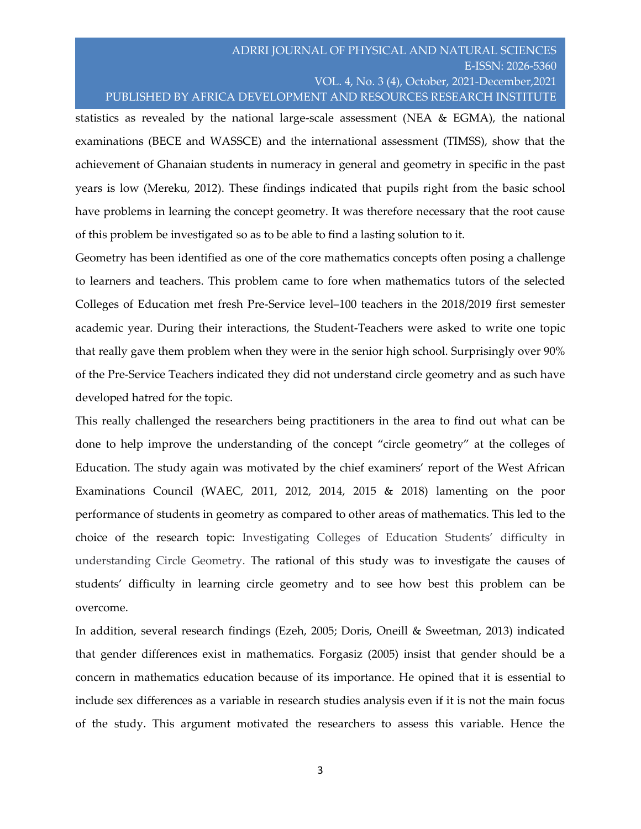statistics as revealed by the national large-scale assessment (NEA  $\&$  EGMA), the national examinations (BECE and WASSCE) and the international assessment (TIMSS), show that the achievement of Ghanaian students in numeracy in general and geometry in specific in the past years is low (Mereku, 2012). These findings indicated that pupils right from the basic school have problems in learning the concept geometry. It was therefore necessary that the root cause of this problem be investigated so as to be able to find a lasting solution to it.

Geometry has been identified as one of the core mathematics concepts often posing a challenge to learners and teachers. This problem came to fore when mathematics tutors of the selected Colleges of Education met fresh Pre-Service level–100 teachers in the 2018/2019 first semester academic year. During their interactions, the Student-Teachers were asked to write one topic that really gave them problem when they were in the senior high school. Surprisingly over 90% of the Pre-Service Teachers indicated they did not understand circle geometry and as such have developed hatred for the topic.

This really challenged the researchers being practitioners in the area to find out what can be done to help improve the understanding of the concept "circle geometry" at the colleges of Education. The study again was motivated by the chief examiners' report of the West African Examinations Council (WAEC, 2011, 2012, 2014, 2015 & 2018) lamenting on the poor performance of students in geometry as compared to other areas of mathematics. This led to the choice of the research topic: Investigating Colleges of Education Students' difficulty in understanding Circle Geometry. The rational of this study was to investigate the causes of students' difficulty in learning circle geometry and to see how best this problem can be overcome.

In addition, several research findings (Ezeh, 2005; Doris, Oneill & Sweetman, 2013) indicated that gender differences exist in mathematics. Forgasiz (2005) insist that gender should be a concern in mathematics education because of its importance. He opined that it is essential to include sex differences as a variable in research studies analysis even if it is not the main focus of the study. This argument motivated the researchers to assess this variable. Hence the

3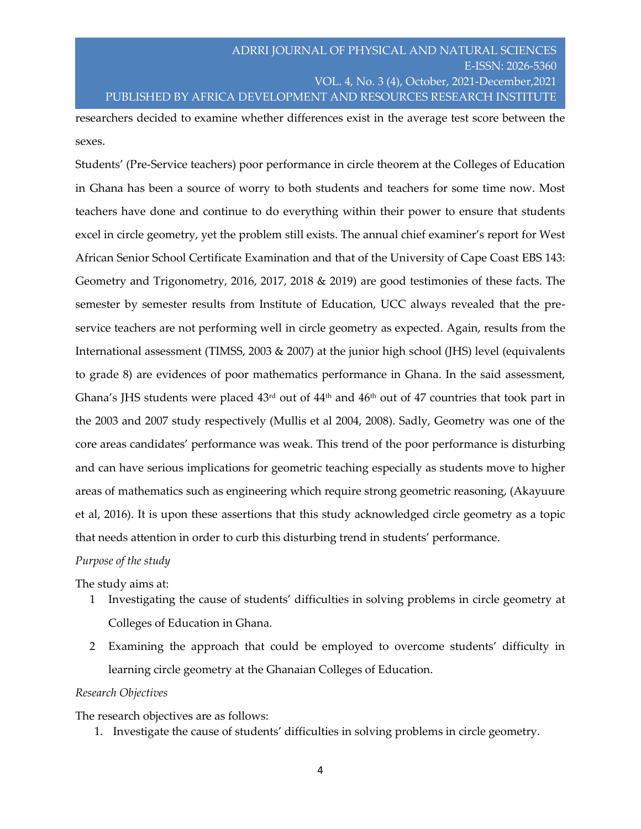researchers decided to examine whether differences exist in the average test score between the sexes.

Students' (Pre-Service teachers) poor performance in circle theorem at the Colleges of Education in Ghana has been a source of worry to both students and teachers for some time now. Most teachers have done and continue to do everything within their power to ensure that students excel in circle geometry, yet the problem still exists. The annual chief examiner's report for West African Senior School Certificate Examination and that of the University of Cape Coast EBS 143: Geometry and Trigonometry, 2016, 2017, 2018 & 2019) are good testimonies of these facts. The semester by semester results from Institute of Education, UCC always revealed that the preservice teachers are not performing well in circle geometry as expected. Again, results from the International assessment (TIMSS, 2003 & 2007) at the junior high school (JHS) level (equivalents to grade 8) are evidences of poor mathematics performance in Ghana. In the said assessment, Ghana's JHS students were placed  $43<sup>rd</sup>$  out of  $44<sup>th</sup>$  and  $46<sup>th</sup>$  out of 47 countries that took part in the 2003 and 2007 study respectively (Mullis et al 2004, 2008). Sadly, Geometry was one of the core areas candidates' performance was weak. This trend of the poor performance is disturbing and can have serious implications for geometric teaching especially as students move to higher areas of mathematics such as engineering which require strong geometric reasoning, (Akayuure et al, 2016). It is upon these assertions that this study acknowledged circle geometry as a topic that needs attention in order to curb this disturbing trend in students' performance.

*Purpose of the study*

The study aims at:

- 1 Investigating the cause of students' difficulties in solving problems in circle geometry at Colleges of Education in Ghana.
- 2 Examining the approach that could be employed to overcome students' difficulty in learning circle geometry at the Ghanaian Colleges of Education.

#### *Research Objectives*

The research objectives are as follows:

1. Investigate the cause of students' difficulties in solving problems in circle geometry.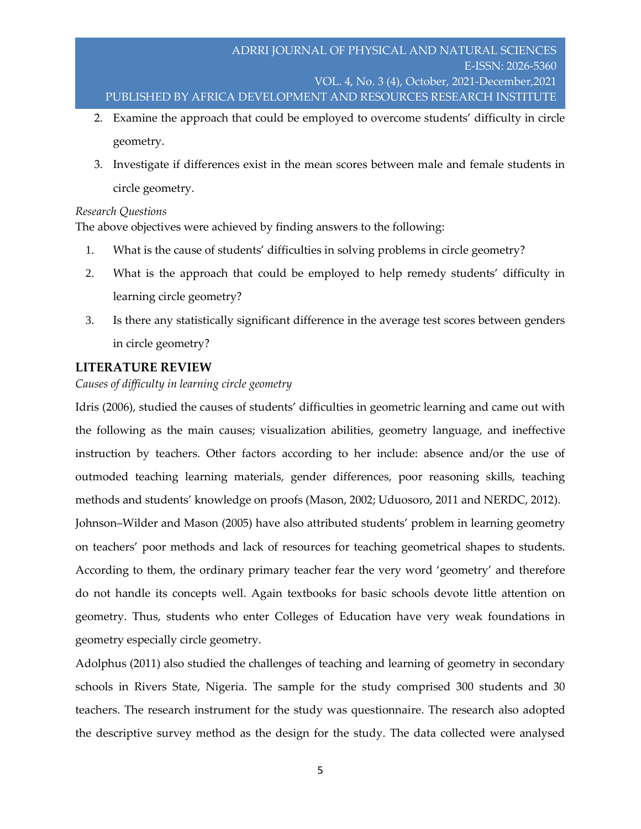- 2. Examine the approach that could be employed to overcome students' difficulty in circle geometry.
- 3. Investigate if differences exist in the mean scores between male and female students in circle geometry.

#### *Research Questions*

The above objectives were achieved by finding answers to the following:

- 1. What is the cause of students' difficulties in solving problems in circle geometry?
- 2. What is the approach that could be employed to help remedy students' difficulty in learning circle geometry?
- 3. Is there any statistically significant difference in the average test scores between genders in circle geometry?

## **LITERATURE REVIEW**

### *Causes of difficulty in learning circle geometry*

Idris (2006), studied the causes of students' difficulties in geometric learning and came out with the following as the main causes; visualization abilities, geometry language, and ineffective instruction by teachers. Other factors according to her include: absence and/or the use of outmoded teaching learning materials, gender differences, poor reasoning skills, teaching methods and students' knowledge on proofs (Mason, 2002; Uduosoro, 2011 and NERDC, 2012). Johnson–Wilder and Mason (2005) have also attributed students' problem in learning geometry on teachers' poor methods and lack of resources for teaching geometrical shapes to students. According to them, the ordinary primary teacher fear the very word 'geometry' and therefore do not handle its concepts well. Again textbooks for basic schools devote little attention on geometry. Thus, students who enter Colleges of Education have very weak foundations in geometry especially circle geometry.

Adolphus (2011) also studied the challenges of teaching and learning of geometry in secondary schools in Rivers State, Nigeria. The sample for the study comprised 300 students and 30 teachers. The research instrument for the study was questionnaire. The research also adopted the descriptive survey method as the design for the study. The data collected were analysed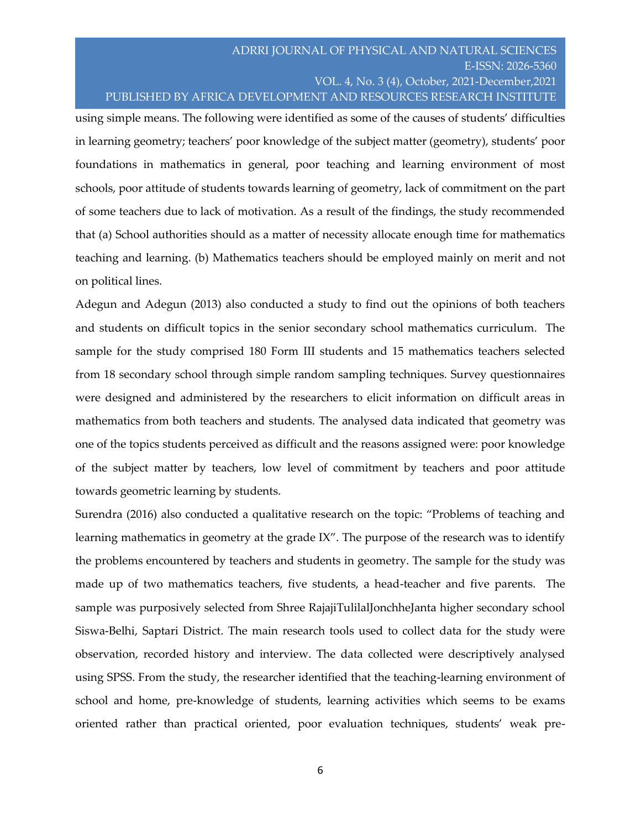using simple means. The following were identified as some of the causes of students' difficulties in learning geometry; teachers' poor knowledge of the subject matter (geometry), students' poor foundations in mathematics in general, poor teaching and learning environment of most schools, poor attitude of students towards learning of geometry, lack of commitment on the part of some teachers due to lack of motivation. As a result of the findings, the study recommended that (a) School authorities should as a matter of necessity allocate enough time for mathematics teaching and learning. (b) Mathematics teachers should be employed mainly on merit and not on political lines.

Adegun and Adegun (2013) also conducted a study to find out the opinions of both teachers and students on difficult topics in the senior secondary school mathematics curriculum. The sample for the study comprised 180 Form III students and 15 mathematics teachers selected from 18 secondary school through simple random sampling techniques. Survey questionnaires were designed and administered by the researchers to elicit information on difficult areas in mathematics from both teachers and students. The analysed data indicated that geometry was one of the topics students perceived as difficult and the reasons assigned were: poor knowledge of the subject matter by teachers, low level of commitment by teachers and poor attitude towards geometric learning by students.

Surendra (2016) also conducted a qualitative research on the topic: "Problems of teaching and learning mathematics in geometry at the grade IX". The purpose of the research was to identify the problems encountered by teachers and students in geometry. The sample for the study was made up of two mathematics teachers, five students, a head-teacher and five parents. The sample was purposively selected from Shree RajajiTulilalJonchheJanta higher secondary school Siswa-Belhi, Saptari District. The main research tools used to collect data for the study were observation, recorded history and interview. The data collected were descriptively analysed using SPSS. From the study, the researcher identified that the teaching-learning environment of school and home, pre-knowledge of students, learning activities which seems to be exams oriented rather than practical oriented, poor evaluation techniques, students' weak pre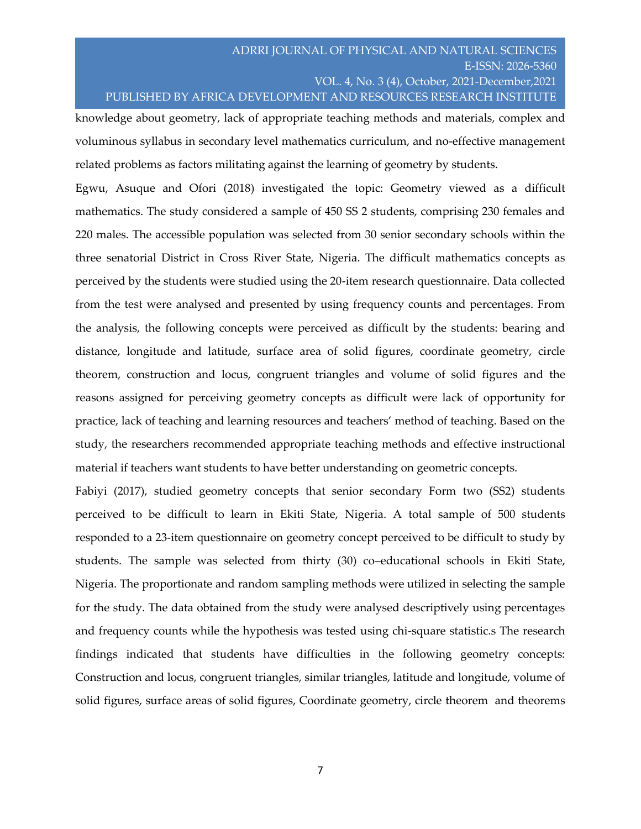knowledge about geometry, lack of appropriate teaching methods and materials, complex and voluminous syllabus in secondary level mathematics curriculum, and no-effective management related problems as factors militating against the learning of geometry by students.

Egwu, Asuque and Ofori (2018) investigated the topic: Geometry viewed as a difficult mathematics. The study considered a sample of 450 SS 2 students, comprising 230 females and 220 males. The accessible population was selected from 30 senior secondary schools within the three senatorial District in Cross River State, Nigeria. The difficult mathematics concepts as perceived by the students were studied using the 20-item research questionnaire. Data collected from the test were analysed and presented by using frequency counts and percentages. From the analysis, the following concepts were perceived as difficult by the students: bearing and distance, longitude and latitude, surface area of solid figures, coordinate geometry, circle theorem, construction and locus, congruent triangles and volume of solid figures and the reasons assigned for perceiving geometry concepts as difficult were lack of opportunity for practice, lack of teaching and learning resources and teachers' method of teaching. Based on the study, the researchers recommended appropriate teaching methods and effective instructional material if teachers want students to have better understanding on geometric concepts.

Fabiyi (2017), studied geometry concepts that senior secondary Form two (SS2) students perceived to be difficult to learn in Ekiti State, Nigeria. A total sample of 500 students responded to a 23-item questionnaire on geometry concept perceived to be difficult to study by students. The sample was selected from thirty (30) co–educational schools in Ekiti State, Nigeria. The proportionate and random sampling methods were utilized in selecting the sample for the study. The data obtained from the study were analysed descriptively using percentages and frequency counts while the hypothesis was tested using chi-square statistic.s The research findings indicated that students have difficulties in the following geometry concepts: Construction and locus, congruent triangles, similar triangles, latitude and longitude, volume of solid figures, surface areas of solid figures, Coordinate geometry, circle theorem and theorems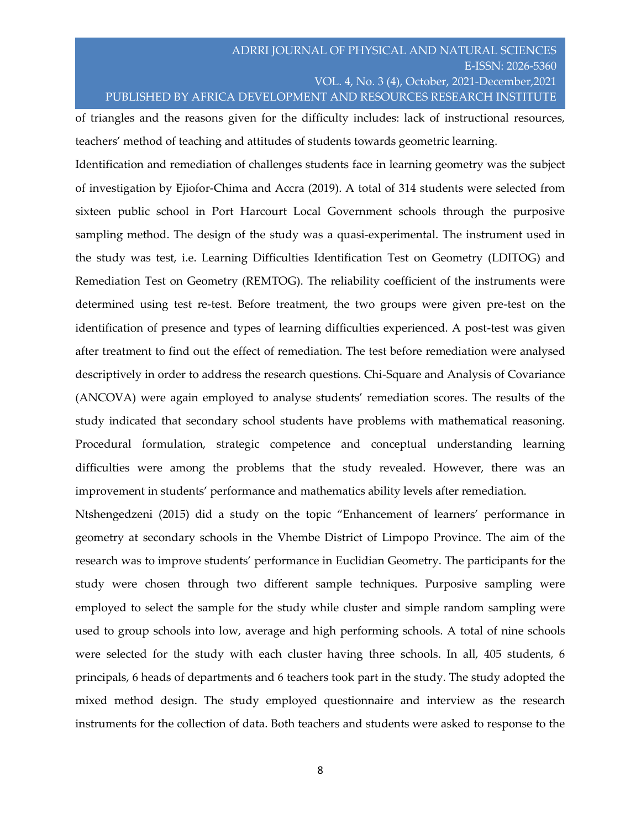of triangles and the reasons given for the difficulty includes: lack of instructional resources, teachers' method of teaching and attitudes of students towards geometric learning.

Identification and remediation of challenges students face in learning geometry was the subject of investigation by Ejiofor-Chima and Accra (2019). A total of 314 students were selected from sixteen public school in Port Harcourt Local Government schools through the purposive sampling method. The design of the study was a quasi-experimental. The instrument used in the study was test, i.e. Learning Difficulties Identification Test on Geometry (LDITOG) and Remediation Test on Geometry (REMTOG). The reliability coefficient of the instruments were determined using test re-test. Before treatment, the two groups were given pre-test on the identification of presence and types of learning difficulties experienced. A post-test was given after treatment to find out the effect of remediation. The test before remediation were analysed descriptively in order to address the research questions. Chi-Square and Analysis of Covariance (ANCOVA) were again employed to analyse students' remediation scores. The results of the study indicated that secondary school students have problems with mathematical reasoning. Procedural formulation, strategic competence and conceptual understanding learning difficulties were among the problems that the study revealed. However, there was an improvement in students' performance and mathematics ability levels after remediation.

Ntshengedzeni (2015) did a study on the topic "Enhancement of learners' performance in geometry at secondary schools in the Vhembe District of Limpopo Province. The aim of the research was to improve students' performance in Euclidian Geometry. The participants for the study were chosen through two different sample techniques. Purposive sampling were employed to select the sample for the study while cluster and simple random sampling were used to group schools into low, average and high performing schools. A total of nine schools were selected for the study with each cluster having three schools. In all, 405 students, 6 principals, 6 heads of departments and 6 teachers took part in the study. The study adopted the mixed method design. The study employed questionnaire and interview as the research instruments for the collection of data. Both teachers and students were asked to response to the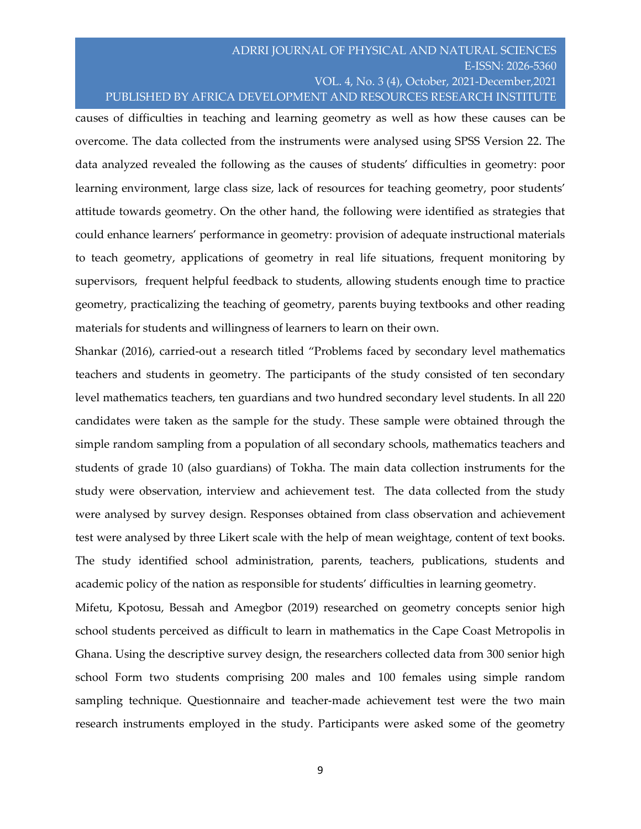causes of difficulties in teaching and learning geometry as well as how these causes can be overcome. The data collected from the instruments were analysed using SPSS Version 22. The data analyzed revealed the following as the causes of students' difficulties in geometry: poor learning environment, large class size, lack of resources for teaching geometry, poor students' attitude towards geometry. On the other hand, the following were identified as strategies that could enhance learners' performance in geometry: provision of adequate instructional materials to teach geometry, applications of geometry in real life situations, frequent monitoring by supervisors, frequent helpful feedback to students, allowing students enough time to practice geometry, practicalizing the teaching of geometry, parents buying textbooks and other reading materials for students and willingness of learners to learn on their own.

Shankar (2016), carried-out a research titled "Problems faced by secondary level mathematics teachers and students in geometry. The participants of the study consisted of ten secondary level mathematics teachers, ten guardians and two hundred secondary level students. In all 220 candidates were taken as the sample for the study. These sample were obtained through the simple random sampling from a population of all secondary schools, mathematics teachers and students of grade 10 (also guardians) of Tokha. The main data collection instruments for the study were observation, interview and achievement test. The data collected from the study were analysed by survey design. Responses obtained from class observation and achievement test were analysed by three Likert scale with the help of mean weightage, content of text books. The study identified school administration, parents, teachers, publications, students and academic policy of the nation as responsible for students' difficulties in learning geometry.

Mifetu, Kpotosu, Bessah and Amegbor (2019) researched on geometry concepts senior high school students perceived as difficult to learn in mathematics in the Cape Coast Metropolis in Ghana. Using the descriptive survey design, the researchers collected data from 300 senior high school Form two students comprising 200 males and 100 females using simple random sampling technique. Questionnaire and teacher-made achievement test were the two main research instruments employed in the study. Participants were asked some of the geometry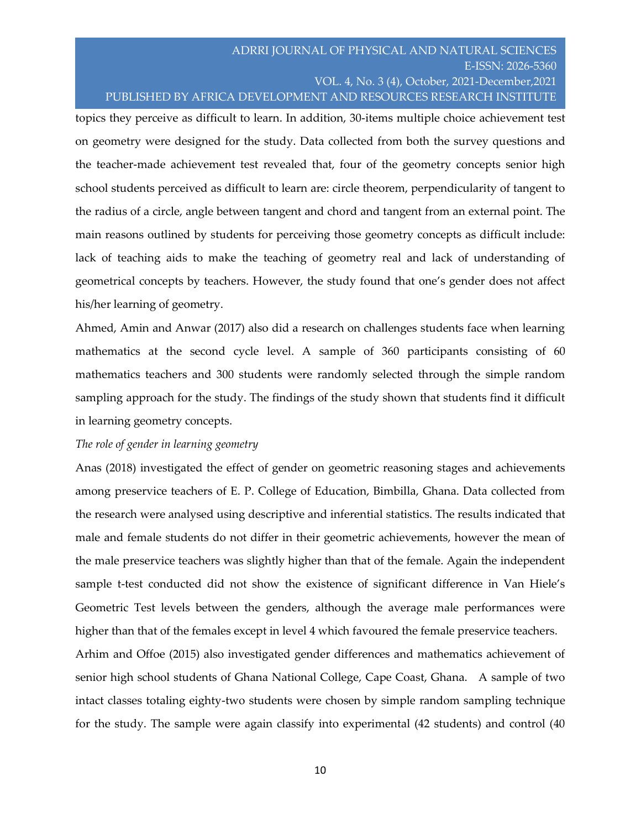topics they perceive as difficult to learn. In addition, 30-items multiple choice achievement test on geometry were designed for the study. Data collected from both the survey questions and the teacher-made achievement test revealed that, four of the geometry concepts senior high school students perceived as difficult to learn are: circle theorem, perpendicularity of tangent to the radius of a circle, angle between tangent and chord and tangent from an external point. The main reasons outlined by students for perceiving those geometry concepts as difficult include: lack of teaching aids to make the teaching of geometry real and lack of understanding of geometrical concepts by teachers. However, the study found that one's gender does not affect his/her learning of geometry.

Ahmed, Amin and Anwar (2017) also did a research on challenges students face when learning mathematics at the second cycle level. A sample of 360 participants consisting of 60 mathematics teachers and 300 students were randomly selected through the simple random sampling approach for the study. The findings of the study shown that students find it difficult in learning geometry concepts.

#### *The role of gender in learning geometry*

Anas (2018) investigated the effect of gender on geometric reasoning stages and achievements among preservice teachers of E. P. College of Education, Bimbilla, Ghana. Data collected from the research were analysed using descriptive and inferential statistics. The results indicated that male and female students do not differ in their geometric achievements, however the mean of the male preservice teachers was slightly higher than that of the female. Again the independent sample t-test conducted did not show the existence of significant difference in Van Hiele's Geometric Test levels between the genders, although the average male performances were higher than that of the females except in level 4 which favoured the female preservice teachers.

Arhim and Offoe (2015) also investigated gender differences and mathematics achievement of senior high school students of Ghana National College, Cape Coast, Ghana. A sample of two intact classes totaling eighty-two students were chosen by simple random sampling technique for the study. The sample were again classify into experimental (42 students) and control (40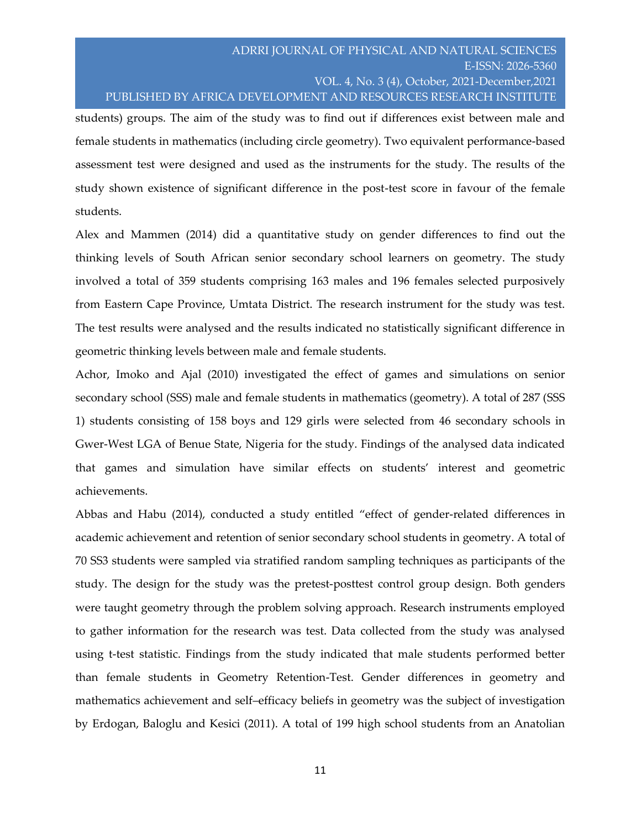students) groups. The aim of the study was to find out if differences exist between male and female students in mathematics (including circle geometry). Two equivalent performance-based assessment test were designed and used as the instruments for the study. The results of the study shown existence of significant difference in the post-test score in favour of the female students.

Alex and Mammen (2014) did a quantitative study on gender differences to find out the thinking levels of South African senior secondary school learners on geometry. The study involved a total of 359 students comprising 163 males and 196 females selected purposively from Eastern Cape Province, Umtata District. The research instrument for the study was test. The test results were analysed and the results indicated no statistically significant difference in geometric thinking levels between male and female students.

Achor, Imoko and Ajal (2010) investigated the effect of games and simulations on senior secondary school (SSS) male and female students in mathematics (geometry). A total of 287 (SSS 1) students consisting of 158 boys and 129 girls were selected from 46 secondary schools in Gwer-West LGA of Benue State, Nigeria for the study. Findings of the analysed data indicated that games and simulation have similar effects on students' interest and geometric achievements.

Abbas and Habu (2014), conducted a study entitled "effect of gender-related differences in academic achievement and retention of senior secondary school students in geometry. A total of 70 SS3 students were sampled via stratified random sampling techniques as participants of the study. The design for the study was the pretest-posttest control group design. Both genders were taught geometry through the problem solving approach. Research instruments employed to gather information for the research was test. Data collected from the study was analysed using t-test statistic. Findings from the study indicated that male students performed better than female students in Geometry Retention-Test. Gender differences in geometry and mathematics achievement and self–efficacy beliefs in geometry was the subject of investigation by Erdogan, Baloglu and Kesici (2011). A total of 199 high school students from an Anatolian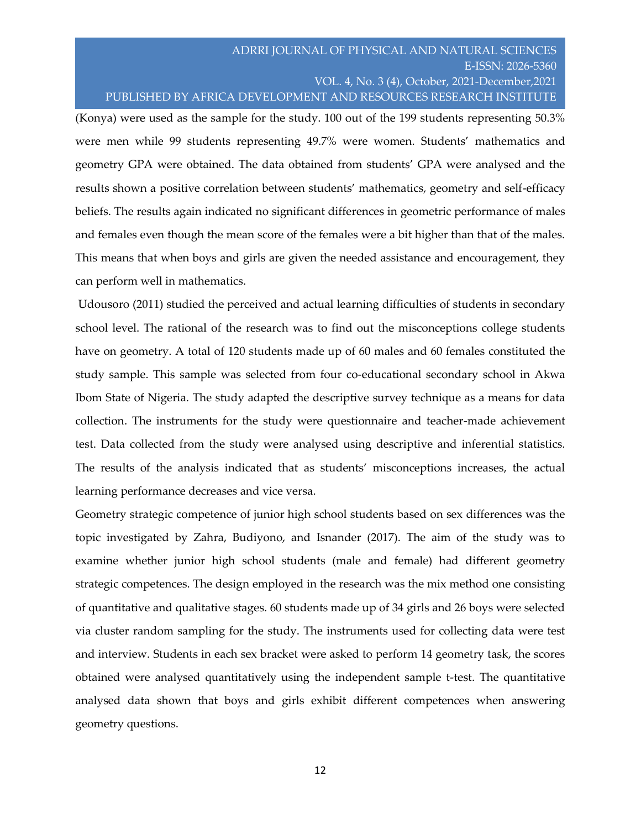(Konya) were used as the sample for the study. 100 out of the 199 students representing 50.3% were men while 99 students representing 49.7% were women. Students' mathematics and geometry GPA were obtained. The data obtained from students' GPA were analysed and the results shown a positive correlation between students' mathematics, geometry and self-efficacy beliefs. The results again indicated no significant differences in geometric performance of males and females even though the mean score of the females were a bit higher than that of the males. This means that when boys and girls are given the needed assistance and encouragement, they can perform well in mathematics.

Udousoro (2011) studied the perceived and actual learning difficulties of students in secondary school level. The rational of the research was to find out the misconceptions college students have on geometry. A total of 120 students made up of 60 males and 60 females constituted the study sample. This sample was selected from four co-educational secondary school in Akwa Ibom State of Nigeria. The study adapted the descriptive survey technique as a means for data collection. The instruments for the study were questionnaire and teacher-made achievement test. Data collected from the study were analysed using descriptive and inferential statistics. The results of the analysis indicated that as students' misconceptions increases, the actual learning performance decreases and vice versa.

Geometry strategic competence of junior high school students based on sex differences was the topic investigated by Zahra, Budiyono, and Isnander (2017). The aim of the study was to examine whether junior high school students (male and female) had different geometry strategic competences. The design employed in the research was the mix method one consisting of quantitative and qualitative stages. 60 students made up of 34 girls and 26 boys were selected via cluster random sampling for the study. The instruments used for collecting data were test and interview. Students in each sex bracket were asked to perform 14 geometry task, the scores obtained were analysed quantitatively using the independent sample t-test. The quantitative analysed data shown that boys and girls exhibit different competences when answering geometry questions.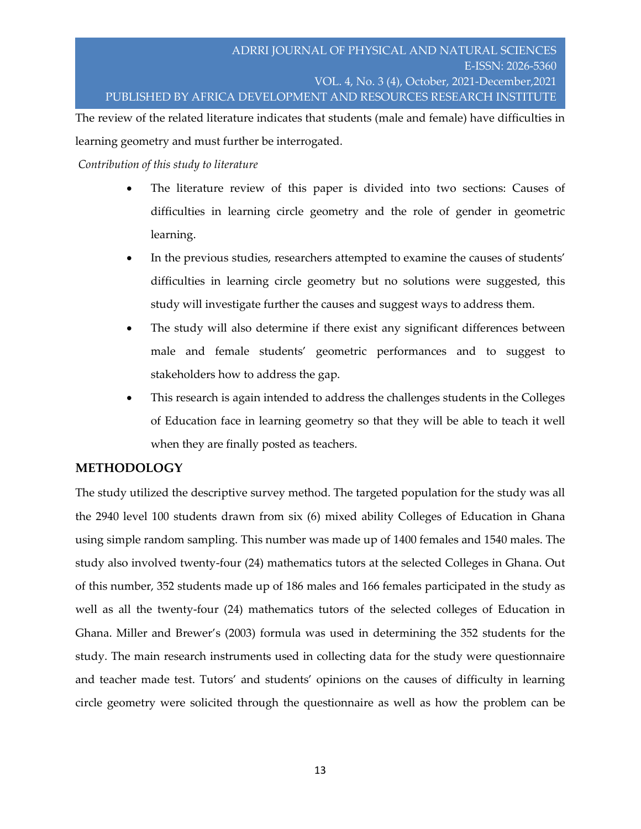The review of the related literature indicates that students (male and female) have difficulties in learning geometry and must further be interrogated.

### *Contribution of this study to literature*

- The literature review of this paper is divided into two sections: Causes of difficulties in learning circle geometry and the role of gender in geometric learning.
- In the previous studies, researchers attempted to examine the causes of students' difficulties in learning circle geometry but no solutions were suggested, this study will investigate further the causes and suggest ways to address them.
- The study will also determine if there exist any significant differences between male and female students' geometric performances and to suggest to stakeholders how to address the gap.
- This research is again intended to address the challenges students in the Colleges of Education face in learning geometry so that they will be able to teach it well when they are finally posted as teachers.

## **METHODOLOGY**

The study utilized the descriptive survey method. The targeted population for the study was all the 2940 level 100 students drawn from six (6) mixed ability Colleges of Education in Ghana using simple random sampling. This number was made up of 1400 females and 1540 males. The study also involved twenty-four (24) mathematics tutors at the selected Colleges in Ghana. Out of this number, 352 students made up of 186 males and 166 females participated in the study as well as all the twenty-four (24) mathematics tutors of the selected colleges of Education in Ghana. Miller and Brewer's (2003) formula was used in determining the 352 students for the study. The main research instruments used in collecting data for the study were questionnaire and teacher made test. Tutors' and students' opinions on the causes of difficulty in learning circle geometry were solicited through the questionnaire as well as how the problem can be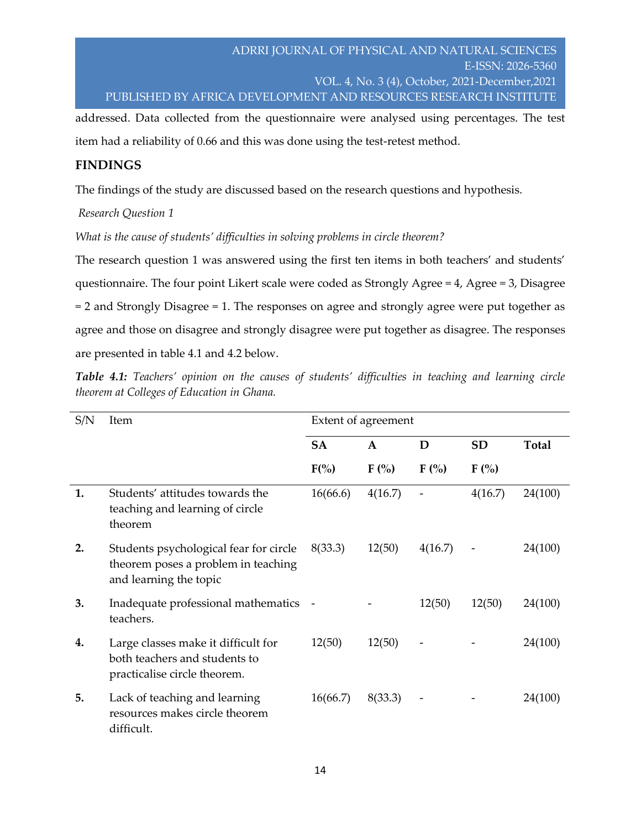addressed. Data collected from the questionnaire were analysed using percentages. The test item had a reliability of 0.66 and this was done using the test-retest method.

## **FINDINGS**

The findings of the study are discussed based on the research questions and hypothesis.

## *Research Question 1*

*What is the cause of students' difficulties in solving problems in circle theorem?*

The research question 1 was answered using the first ten items in both teachers' and students' questionnaire. The four point Likert scale were coded as Strongly Agree = 4, Agree = 3, Disagree = 2 and Strongly Disagree = 1. The responses on agree and strongly agree were put together as agree and those on disagree and strongly disagree were put together as disagree. The responses are presented in table 4.1 and 4.2 below.

*Table 4.1: Teachers' opinion on the causes of students' difficulties in teaching and learning circle theorem at Colleges of Education in Ghana.*

| S/N | <b>Item</b>                                                                                             | Extent of agreement |         |         |           |              |  |
|-----|---------------------------------------------------------------------------------------------------------|---------------------|---------|---------|-----------|--------------|--|
|     |                                                                                                         | <b>SA</b>           | A       | D       | <b>SD</b> | <b>Total</b> |  |
|     |                                                                                                         | $F(\% )$            | $F(\%)$ | $F(\%)$ | $F(\% )$  |              |  |
| 1.  | Students' attitudes towards the<br>teaching and learning of circle<br>theorem                           | 16(66.6)            | 4(16.7) |         | 4(16.7)   | 24(100)      |  |
| 2.  | Students psychological fear for circle<br>theorem poses a problem in teaching<br>and learning the topic | 8(33.3)             | 12(50)  | 4(16.7) |           | 24(100)      |  |
| 3.  | Inadequate professional mathematics -<br>teachers.                                                      |                     |         | 12(50)  | 12(50)    | 24(100)      |  |
| 4.  | Large classes make it difficult for<br>both teachers and students to<br>practicalise circle theorem.    | 12(50)              | 12(50)  |         |           | 24(100)      |  |
| 5.  | Lack of teaching and learning<br>resources makes circle theorem<br>difficult.                           | 16(66.7)            | 8(33.3) |         |           | 24(100)      |  |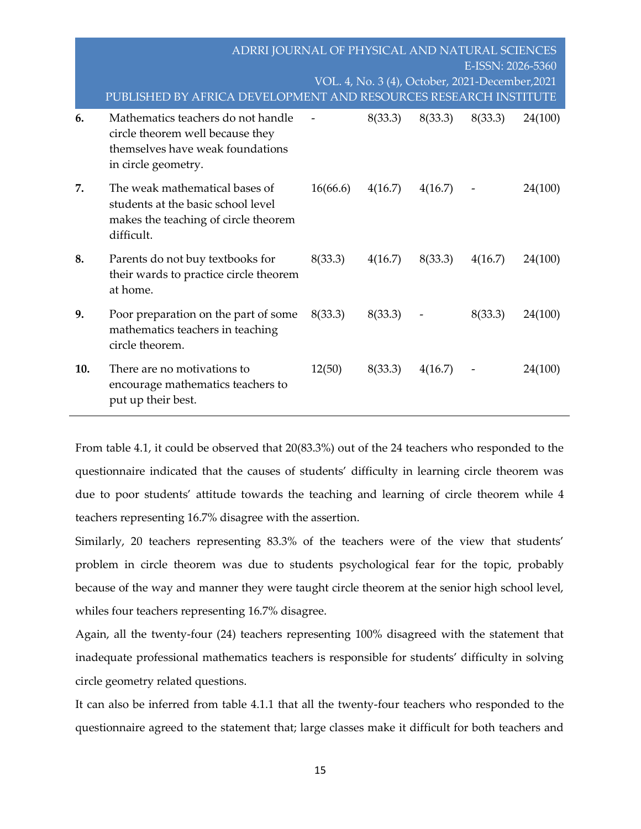|     | ADRRI JOURNAL OF PHYSICAL AND NATURAL SCIENCES<br>PUBLISHED BY AFRICA DEVELOPMENT AND RESOURCES RESEARCH INSTITUTE                |          |         |         | E-ISSN: 2026-5360<br>VOL. 4, No. 3 (4), October, 2021-December, 2021 |         |
|-----|-----------------------------------------------------------------------------------------------------------------------------------|----------|---------|---------|----------------------------------------------------------------------|---------|
| 6.  | Mathematics teachers do not handle<br>circle theorem well because they<br>themselves have weak foundations<br>in circle geometry. |          | 8(33.3) | 8(33.3) | 8(33.3)                                                              | 24(100) |
| 7.  | The weak mathematical bases of<br>students at the basic school level<br>makes the teaching of circle theorem<br>difficult.        | 16(66.6) | 4(16.7) | 4(16.7) |                                                                      | 24(100) |
| 8.  | Parents do not buy textbooks for<br>their wards to practice circle theorem<br>at home.                                            | 8(33.3)  | 4(16.7) | 8(33.3) | 4(16.7)                                                              | 24(100) |
| 9.  | Poor preparation on the part of some<br>mathematics teachers in teaching<br>circle theorem.                                       | 8(33.3)  | 8(33.3) |         | 8(33.3)                                                              | 24(100) |
| 10. | There are no motivations to<br>encourage mathematics teachers to<br>put up their best.                                            | 12(50)   | 8(33.3) | 4(16.7) |                                                                      | 24(100) |

From table 4.1, it could be observed that 20(83.3%) out of the 24 teachers who responded to the questionnaire indicated that the causes of students' difficulty in learning circle theorem was due to poor students' attitude towards the teaching and learning of circle theorem while 4 teachers representing 16.7% disagree with the assertion.

Similarly, 20 teachers representing 83.3% of the teachers were of the view that students' problem in circle theorem was due to students psychological fear for the topic, probably because of the way and manner they were taught circle theorem at the senior high school level, whiles four teachers representing 16.7% disagree.

Again, all the twenty-four (24) teachers representing 100% disagreed with the statement that inadequate professional mathematics teachers is responsible for students' difficulty in solving circle geometry related questions.

It can also be inferred from table 4.1.1 that all the twenty-four teachers who responded to the questionnaire agreed to the statement that; large classes make it difficult for both teachers and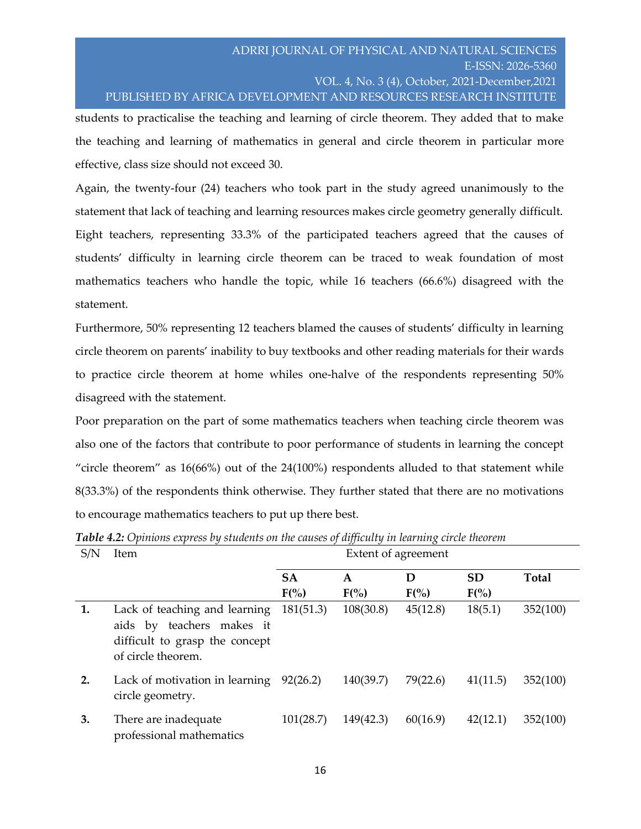students to practicalise the teaching and learning of circle theorem. They added that to make the teaching and learning of mathematics in general and circle theorem in particular more effective, class size should not exceed 30.

Again, the twenty-four (24) teachers who took part in the study agreed unanimously to the statement that lack of teaching and learning resources makes circle geometry generally difficult. Eight teachers, representing 33.3% of the participated teachers agreed that the causes of students' difficulty in learning circle theorem can be traced to weak foundation of most mathematics teachers who handle the topic, while 16 teachers (66.6%) disagreed with the statement.

Furthermore, 50% representing 12 teachers blamed the causes of students' difficulty in learning circle theorem on parents' inability to buy textbooks and other reading materials for their wards to practice circle theorem at home whiles one-halve of the respondents representing 50% disagreed with the statement.

Poor preparation on the part of some mathematics teachers when teaching circle theorem was also one of the factors that contribute to poor performance of students in learning the concept "circle theorem" as 16(66%) out of the 24(100%) respondents alluded to that statement while 8(33.3%) of the respondents think otherwise. They further stated that there are no motivations to encourage mathematics teachers to put up there best.

| S/N | <b>Item</b>                                                                                                        |                       | Extent of agreement |               |                       |              |
|-----|--------------------------------------------------------------------------------------------------------------------|-----------------------|---------------------|---------------|-----------------------|--------------|
|     |                                                                                                                    | <b>SA</b><br>$F(\% )$ | A<br>$F(\%)$        | D<br>$F(\% )$ | <b>SD</b><br>$F(\% )$ | <b>Total</b> |
| 1.  | Lack of teaching and learning<br>aids by teachers makes it<br>difficult to grasp the concept<br>of circle theorem. | 181(51.3)             | 108(30.8)           | 45(12.8)      | 18(5.1)               | 352(100)     |
| 2.  | Lack of motivation in learning<br>circle geometry.                                                                 | 92(26.2)              | 140(39.7)           | 79(22.6)      | 41(11.5)              | 352(100)     |
| 3.  | There are inadequate<br>professional mathematics                                                                   | 101(28.7)             | 149(42.3)           | 60(16.9)      | 42(12.1)              | 352(100)     |

*Table 4.2: Opinions express by students on the causes of difficulty in learning circle theorem*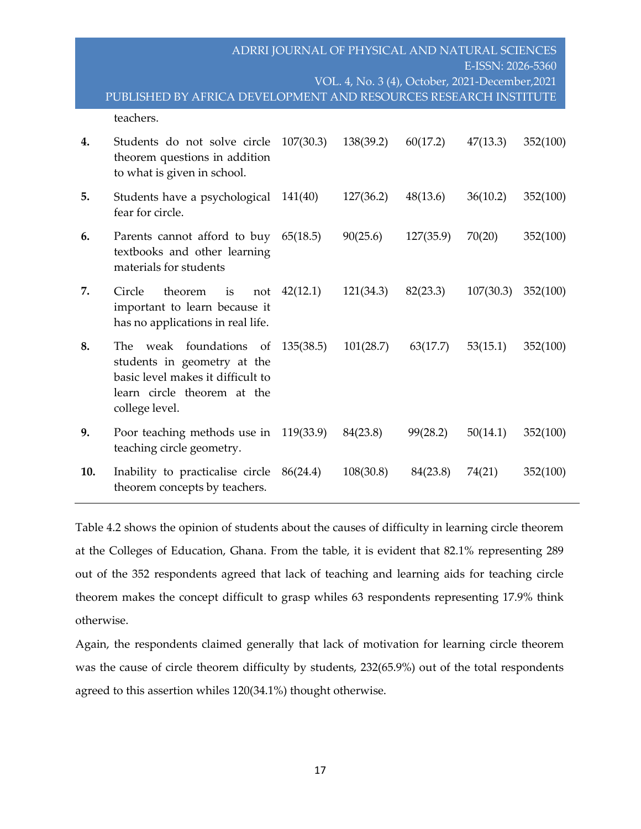|     | PUBLISHED BY AFRICA DEVELOPMENT AND RESOURCES RESEARCH INSTITUTE                                                                                   |           | ADRRI JOURNAL OF PHYSICAL AND NATURAL SCIENCES<br>VOL. 4, No. 3 (4), October, 2021-December, 2021 |           | E-ISSN: 2026-5360 |          |
|-----|----------------------------------------------------------------------------------------------------------------------------------------------------|-----------|---------------------------------------------------------------------------------------------------|-----------|-------------------|----------|
|     | teachers.                                                                                                                                          |           |                                                                                                   |           |                   |          |
| 4.  | Students do not solve circle<br>theorem questions in addition<br>to what is given in school.                                                       | 107(30.3) | 138(39.2)                                                                                         | 60(17.2)  | 47(13.3)          | 352(100) |
| 5.  | Students have a psychological 141(40)<br>fear for circle.                                                                                          |           | 127(36.2)                                                                                         | 48(13.6)  | 36(10.2)          | 352(100) |
| 6.  | Parents cannot afford to buy<br>textbooks and other learning<br>materials for students                                                             | 65(18.5)  | 90(25.6)                                                                                          | 127(35.9) | 70(20)            | 352(100) |
| 7.  | Circle<br>theorem<br>is<br>not<br>important to learn because it<br>has no applications in real life.                                               | 42(12.1)  | 121(34.3)                                                                                         | 82(23.3)  | 107(30.3)         | 352(100) |
| 8.  | weak<br>foundations of<br>The<br>students in geometry at the<br>basic level makes it difficult to<br>learn circle theorem at the<br>college level. | 135(38.5) | 101(28.7)                                                                                         | 63(17.7)  | 53(15.1)          | 352(100) |
| 9.  | Poor teaching methods use in<br>teaching circle geometry.                                                                                          | 119(33.9) | 84(23.8)                                                                                          | 99(28.2)  | 50(14.1)          | 352(100) |
| 10. | Inability to practicalise circle 86(24.4)<br>theorem concepts by teachers.                                                                         |           | 108(30.8)                                                                                         | 84(23.8)  | 74(21)            | 352(100) |

Table 4.2 shows the opinion of students about the causes of difficulty in learning circle theorem at the Colleges of Education, Ghana. From the table, it is evident that 82.1% representing 289 out of the 352 respondents agreed that lack of teaching and learning aids for teaching circle theorem makes the concept difficult to grasp whiles 63 respondents representing 17.9% think otherwise.

Again, the respondents claimed generally that lack of motivation for learning circle theorem was the cause of circle theorem difficulty by students, 232(65.9%) out of the total respondents agreed to this assertion whiles 120(34.1%) thought otherwise.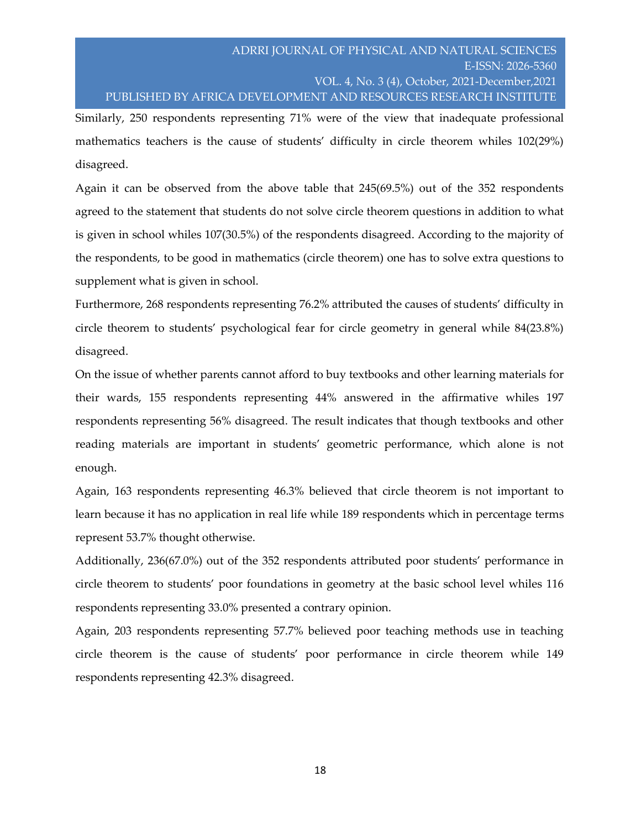Similarly, 250 respondents representing 71% were of the view that inadequate professional mathematics teachers is the cause of students' difficulty in circle theorem whiles 102(29%) disagreed.

Again it can be observed from the above table that 245(69.5%) out of the 352 respondents agreed to the statement that students do not solve circle theorem questions in addition to what is given in school whiles 107(30.5%) of the respondents disagreed. According to the majority of the respondents, to be good in mathematics (circle theorem) one has to solve extra questions to supplement what is given in school.

Furthermore, 268 respondents representing 76.2% attributed the causes of students' difficulty in circle theorem to students' psychological fear for circle geometry in general while 84(23.8%) disagreed.

On the issue of whether parents cannot afford to buy textbooks and other learning materials for their wards, 155 respondents representing 44% answered in the affirmative whiles 197 respondents representing 56% disagreed. The result indicates that though textbooks and other reading materials are important in students' geometric performance, which alone is not enough.

Again, 163 respondents representing 46.3% believed that circle theorem is not important to learn because it has no application in real life while 189 respondents which in percentage terms represent 53.7% thought otherwise.

Additionally, 236(67.0%) out of the 352 respondents attributed poor students' performance in circle theorem to students' poor foundations in geometry at the basic school level whiles 116 respondents representing 33.0% presented a contrary opinion.

Again, 203 respondents representing 57.7% believed poor teaching methods use in teaching circle theorem is the cause of students' poor performance in circle theorem while 149 respondents representing 42.3% disagreed.

18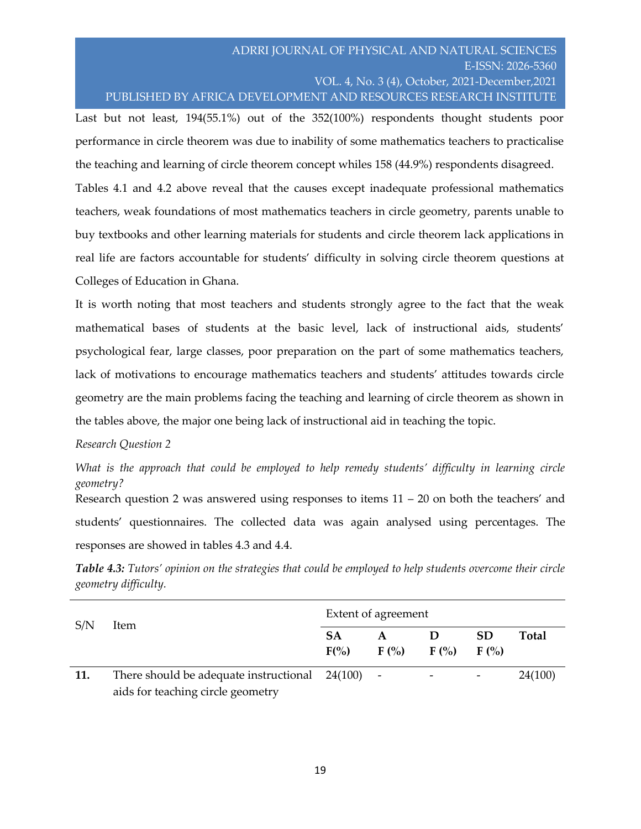## ADRRI JOURNAL OF PHYSICAL AND NATURAL SCIENCES E-ISSN: 2026-5360 VOL. 4, No. 3 (4), October, 2021-December,2021 PUBLISHED BY AFRICA DEVELOPMENT AND RESOURCES RESEARCH INSTITUTE

Last but not least, 194(55.1%) out of the 352(100%) respondents thought students poor performance in circle theorem was due to inability of some mathematics teachers to practicalise the teaching and learning of circle theorem concept whiles 158 (44.9%) respondents disagreed. Tables 4.1 and 4.2 above reveal that the causes except inadequate professional mathematics teachers, weak foundations of most mathematics teachers in circle geometry, parents unable to buy textbooks and other learning materials for students and circle theorem lack applications in real life are factors accountable for students' difficulty in solving circle theorem questions at Colleges of Education in Ghana.

It is worth noting that most teachers and students strongly agree to the fact that the weak mathematical bases of students at the basic level, lack of instructional aids, students' psychological fear, large classes, poor preparation on the part of some mathematics teachers, lack of motivations to encourage mathematics teachers and students' attitudes towards circle geometry are the main problems facing the teaching and learning of circle theorem as shown in the tables above, the major one being lack of instructional aid in teaching the topic.

## *Research Question 2*

*What is the approach that could be employed to help remedy students' difficulty in learning circle geometry?* Research question 2 was answered using responses to items  $11 - 20$  on both the teachers' and

students' questionnaires. The collected data was again analysed using percentages. The responses are showed in tables 4.3 and 4.4.

*Table 4.3: Tutors' opinion on the strategies that could be employed to help students overcome their circle geometry difficulty.*

| S/N | ltem                                                                                    | Extent of agreement  |                 |  |                          |         |  |
|-----|-----------------------------------------------------------------------------------------|----------------------|-----------------|--|--------------------------|---------|--|
|     |                                                                                         | <b>SA</b><br>$F(\%)$ | $F($ %) $F($ %) |  | <b>SD</b><br>$F($ %)     | Total   |  |
| 11. | There should be adequate instructional $24(100)$ -<br>aids for teaching circle geometry |                      |                 |  | $\overline{\phantom{a}}$ | 24(100) |  |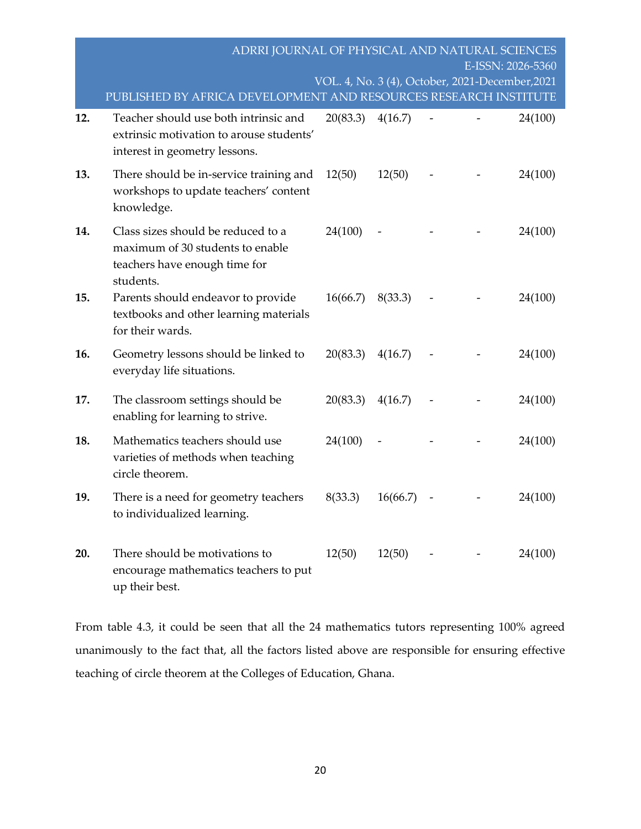|     | ADRRI JOURNAL OF PHYSICAL AND NATURAL SCIENCES                                                                       | VOL. 4, No. 3 (4), October, 2021-December, 2021 |          |  | E-ISSN: 2026-5360 |
|-----|----------------------------------------------------------------------------------------------------------------------|-------------------------------------------------|----------|--|-------------------|
|     | PUBLISHED BY AFRICA DEVELOPMENT AND RESOURCES RESEARCH INSTITUTE                                                     |                                                 |          |  |                   |
| 12. | Teacher should use both intrinsic and<br>extrinsic motivation to arouse students'<br>interest in geometry lessons.   | 20(83.3)                                        | 4(16.7)  |  | 24(100)           |
| 13. | There should be in-service training and<br>workshops to update teachers' content<br>knowledge.                       | 12(50)                                          | 12(50)   |  | 24(100)           |
| 14. | Class sizes should be reduced to a<br>maximum of 30 students to enable<br>teachers have enough time for<br>students. | 24(100)                                         |          |  | 24(100)           |
| 15. | Parents should endeavor to provide<br>textbooks and other learning materials<br>for their wards.                     | 16(66.7)                                        | 8(33.3)  |  | 24(100)           |
| 16. | Geometry lessons should be linked to<br>everyday life situations.                                                    | 20(83.3)                                        | 4(16.7)  |  | 24(100)           |
| 17. | The classroom settings should be<br>enabling for learning to strive.                                                 | 20(83.3)                                        | 4(16.7)  |  | 24(100)           |
| 18. | Mathematics teachers should use<br>varieties of methods when teaching<br>circle theorem.                             | 24(100)                                         |          |  | 24(100)           |
| 19. | There is a need for geometry teachers<br>to individualized learning.                                                 | 8(33.3)                                         | 16(66.7) |  | 24(100)           |
| 20. | There should be motivations to<br>encourage mathematics teachers to put<br>up their best.                            | 12(50)                                          | 12(50)   |  | 24(100)           |

From table 4.3, it could be seen that all the 24 mathematics tutors representing 100% agreed unanimously to the fact that, all the factors listed above are responsible for ensuring effective teaching of circle theorem at the Colleges of Education, Ghana.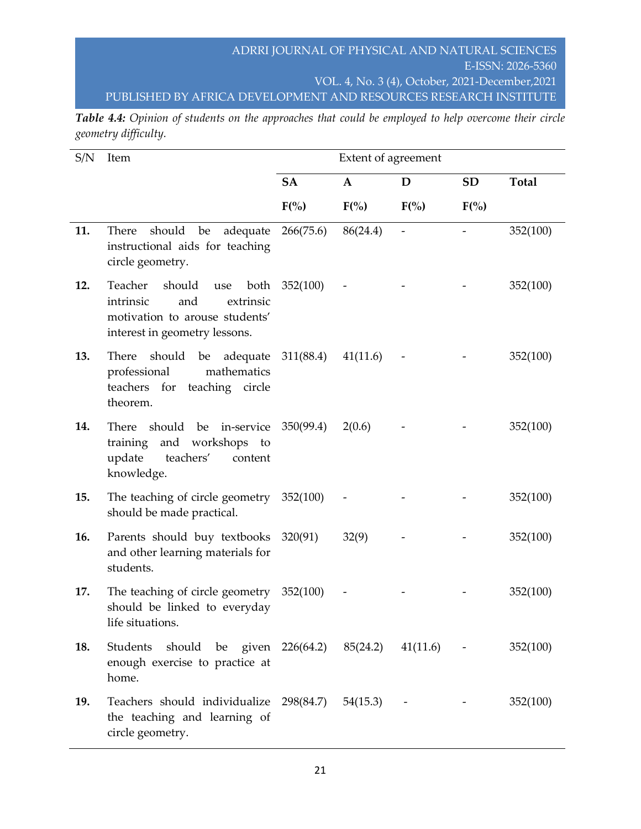*Table 4.4: Opinion of students on the approaches that could be employed to help overcome their circle geometry difficulty.*

| S/N | Item                                                                                                                                 | Extent of agreement |              |                          |           |              |
|-----|--------------------------------------------------------------------------------------------------------------------------------------|---------------------|--------------|--------------------------|-----------|--------------|
|     |                                                                                                                                      | <b>SA</b>           | $\mathbf{A}$ | D                        | <b>SD</b> | <b>Total</b> |
|     |                                                                                                                                      | $F(\% )$            | $F(\% )$     | $F(\% )$                 | $F(\% )$  |              |
| 11. | should<br>be adequate<br>There<br>instructional aids for teaching<br>circle geometry.                                                | 266(75.6)           | 86(24.4)     | $\overline{\phantom{a}}$ |           | 352(100)     |
| 12. | Teacher<br>should<br>both<br>use<br>intrinsic<br>and<br>extrinsic<br>motivation to arouse students'<br>interest in geometry lessons. | 352(100)            |              |                          |           | 352(100)     |
| 13. | should<br>be<br>adequate<br>There<br>mathematics<br>professional<br>teachers for<br>teaching circle<br>theorem.                      | 311(88.4)           | 41(11.6)     |                          |           | 352(100)     |
| 14. | should be in-service<br>There<br>and workshops<br>training<br>to<br>update<br>teachers'<br>content<br>knowledge.                     | 350(99.4)           | 2(0.6)       |                          |           | 352(100)     |
| 15. | The teaching of circle geometry $352(100)$<br>should be made practical.                                                              |                     |              |                          |           | 352(100)     |
| 16. | Parents should buy textbooks<br>and other learning materials for<br>students.                                                        | 320(91)             | 32(9)        |                          |           | 352(100)     |
| 17. | The teaching of circle geometry<br>should be linked to everyday<br>life situations.                                                  | 352(100)            |              |                          |           | 352(100)     |
| 18. | Students should be given 226(64.2) 85(24.2) 41(11.6) -<br>enough exercise to practice at<br>home.                                    |                     |              |                          |           | 352(100)     |
| 19. | Teachers should individualize 298(84.7) 54(15.3) -<br>the teaching and learning of<br>circle geometry.                               |                     |              |                          |           | 352(100)     |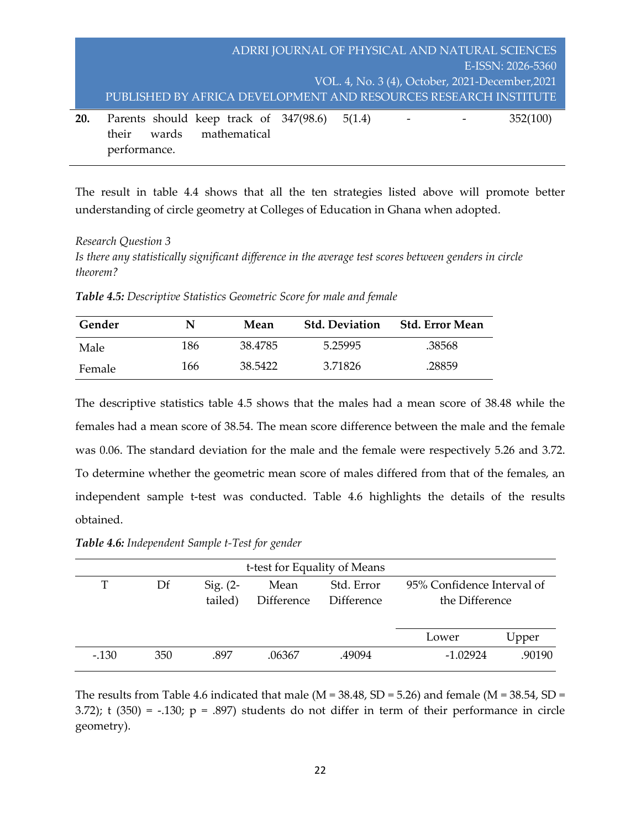|     | ADRRI JOURNAL OF PHYSICAL AND NATURAL SCIENCES                   |  |
|-----|------------------------------------------------------------------|--|
|     | E-ISSN: 2026-5360                                                |  |
|     | VOL. 4, No. 3 (4), October, 2021-December, 2021                  |  |
|     | PUBLISHED BY AFRICA DEVELOPMENT AND RESOURCES RESEARCH INSTITUTE |  |
| 20. | Parents should keep track of 347(98.6) 5(1.4)<br>352(100)        |  |
|     | mathematical<br>wards<br>their                                   |  |
|     | performance.                                                     |  |

The result in table 4.4 shows that all the ten strategies listed above will promote better understanding of circle geometry at Colleges of Education in Ghana when adopted.

#### *Research Question 3*

*Is there any statistically significant difference in the average test scores between genders in circle theorem?*

*Table 4.5: Descriptive Statistics Geometric Score for male and female*

| Gender | N   | Mean    | <b>Std. Deviation</b> | <b>Std. Error Mean</b> |
|--------|-----|---------|-----------------------|------------------------|
| Male   | 186 | 38.4785 | 5.25995               | .38568                 |
| Female | 166 | 38.5422 | 3.71826               | .28859                 |

The descriptive statistics table 4.5 shows that the males had a mean score of 38.48 while the females had a mean score of 38.54. The mean score difference between the male and the female was 0.06. The standard deviation for the male and the female were respectively 5.26 and 3.72. To determine whether the geometric mean score of males differed from that of the females, an independent sample t-test was conducted. Table 4.6 highlights the details of the results obtained.

*Table 4.6: Independent Sample t-Test for gender* 

| t-test for Equality of Means |     |                       |                    |                          |                                              |        |  |  |
|------------------------------|-----|-----------------------|--------------------|--------------------------|----------------------------------------------|--------|--|--|
| T                            | Df  | Sig. $(2-$<br>tailed) | Mean<br>Difference | Std. Error<br>Difference | 95% Confidence Interval of<br>the Difference |        |  |  |
|                              |     |                       |                    |                          | Lower                                        | Upper  |  |  |
| $-.130$                      | 350 | .897                  | .06367             | .49094                   | $-1.02924$                                   | .90190 |  |  |

The results from Table 4.6 indicated that male (M = 38.48, SD = 5.26) and female (M = 38.54, SD = 3.72); t  $(350) = -.130$ ;  $p = .897$ ) students do not differ in term of their performance in circle geometry).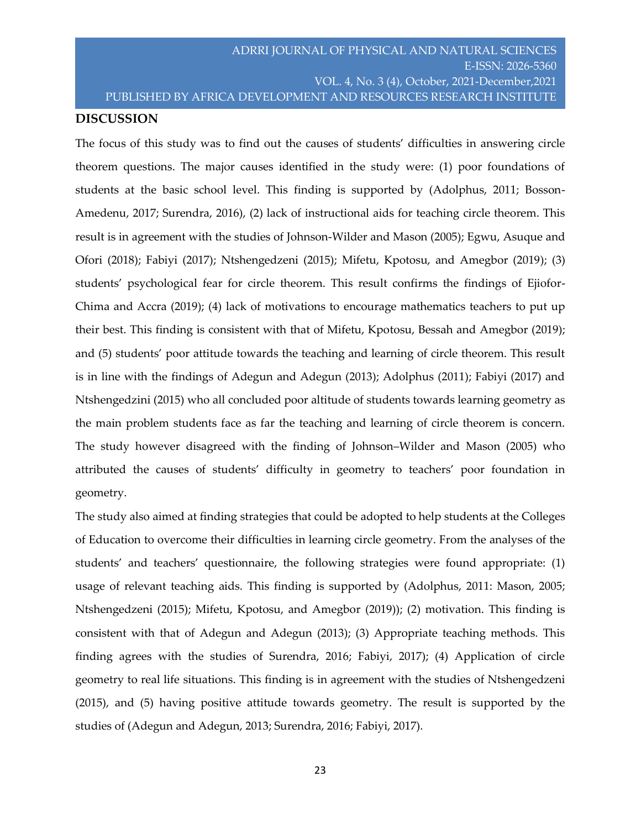#### **DISCUSSION**

The focus of this study was to find out the causes of students' difficulties in answering circle theorem questions. The major causes identified in the study were: (1) poor foundations of students at the basic school level. This finding is supported by (Adolphus, 2011; Bosson-Amedenu, 2017; Surendra, 2016), (2) lack of instructional aids for teaching circle theorem. This result is in agreement with the studies of Johnson-Wilder and Mason (2005); Egwu, Asuque and Ofori (2018); Fabiyi (2017); Ntshengedzeni (2015); Mifetu, Kpotosu, and Amegbor (2019); (3) students' psychological fear for circle theorem. This result confirms the findings of Ejiofor-Chima and Accra (2019); (4) lack of motivations to encourage mathematics teachers to put up their best. This finding is consistent with that of Mifetu, Kpotosu, Bessah and Amegbor (2019); and (5) students' poor attitude towards the teaching and learning of circle theorem. This result is in line with the findings of Adegun and Adegun (2013); Adolphus (2011); Fabiyi (2017) and Ntshengedzini (2015) who all concluded poor altitude of students towards learning geometry as the main problem students face as far the teaching and learning of circle theorem is concern. The study however disagreed with the finding of Johnson–Wilder and Mason (2005) who attributed the causes of students' difficulty in geometry to teachers' poor foundation in geometry.

The study also aimed at finding strategies that could be adopted to help students at the Colleges of Education to overcome their difficulties in learning circle geometry. From the analyses of the students' and teachers' questionnaire, the following strategies were found appropriate: (1) usage of relevant teaching aids. This finding is supported by (Adolphus, 2011: Mason, 2005; Ntshengedzeni (2015); Mifetu, Kpotosu, and Amegbor (2019)); (2) motivation. This finding is consistent with that of Adegun and Adegun (2013); (3) Appropriate teaching methods. This finding agrees with the studies of Surendra, 2016; Fabiyi, 2017); (4) Application of circle geometry to real life situations. This finding is in agreement with the studies of Ntshengedzeni (2015), and (5) having positive attitude towards geometry. The result is supported by the studies of (Adegun and Adegun, 2013; Surendra, 2016; Fabiyi, 2017).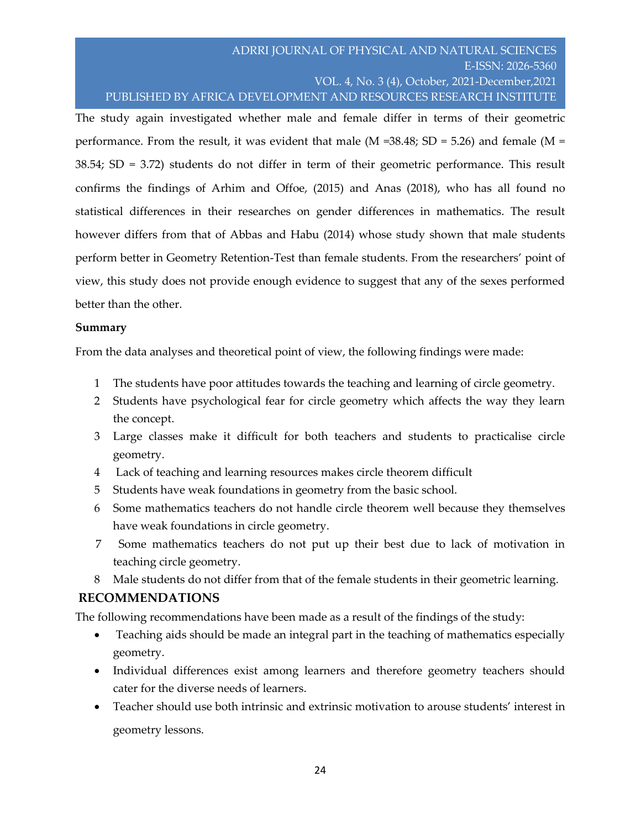The study again investigated whether male and female differ in terms of their geometric performance. From the result, it was evident that male (M =  $38.48$ ; SD =  $5.26$ ) and female (M = 38.54; SD = 3.72) students do not differ in term of their geometric performance. This result confirms the findings of Arhim and Offoe, (2015) and Anas (2018), who has all found no statistical differences in their researches on gender differences in mathematics. The result however differs from that of Abbas and Habu (2014) whose study shown that male students perform better in Geometry Retention-Test than female students. From the researchers' point of view, this study does not provide enough evidence to suggest that any of the sexes performed better than the other.

## **Summary**

From the data analyses and theoretical point of view, the following findings were made:

- 1 The students have poor attitudes towards the teaching and learning of circle geometry.
- 2 Students have psychological fear for circle geometry which affects the way they learn the concept.
- 3 Large classes make it difficult for both teachers and students to practicalise circle geometry.
- 4 Lack of teaching and learning resources makes circle theorem difficult
- 5 Students have weak foundations in geometry from the basic school.
- 6 Some mathematics teachers do not handle circle theorem well because they themselves have weak foundations in circle geometry.
- 7 Some mathematics teachers do not put up their best due to lack of motivation in teaching circle geometry.
- 8 Male students do not differ from that of the female students in their geometric learning.

## **RECOMMENDATIONS**

The following recommendations have been made as a result of the findings of the study:

- Teaching aids should be made an integral part in the teaching of mathematics especially geometry.
- Individual differences exist among learners and therefore geometry teachers should cater for the diverse needs of learners.
- Teacher should use both intrinsic and extrinsic motivation to arouse students' interest in geometry lessons.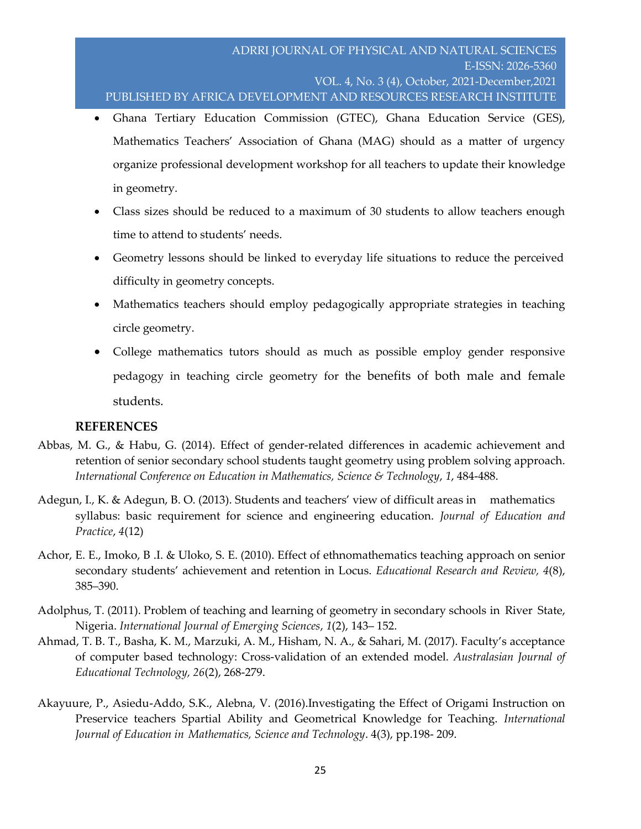- Ghana Tertiary Education Commission (GTEC), Ghana Education Service (GES), Mathematics Teachers' Association of Ghana (MAG) should as a matter of urgency organize professional development workshop for all teachers to update their knowledge in geometry.
- Class sizes should be reduced to a maximum of 30 students to allow teachers enough time to attend to students' needs.
- Geometry lessons should be linked to everyday life situations to reduce the perceived difficulty in geometry concepts.
- Mathematics teachers should employ pedagogically appropriate strategies in teaching circle geometry.
- College mathematics tutors should as much as possible employ gender responsive pedagogy in teaching circle geometry for the benefits of both male and female students.

## **REFERENCES**

- Abbas, M. G., & Habu, G. (2014). Effect of gender-related differences in academic achievement and retention of senior secondary school students taught geometry using problem solving approach. *International Conference on Education in Mathematics, Science & Technology*, *1*, 484-488.
- Adegun, I., K. & Adegun, B. O. (2013). Students and teachers' view of difficult areas in mathematics syllabus: basic requirement for science and engineering education. *Journal of Education and Practice*, *4*(12)
- Achor, E. E., Imoko, B .I. & Uloko, S. E. (2010). Effect of ethnomathematics teaching approach on senior secondary students' achievement and retention in Locus. *Educational Research and Review, 4*(8), 385–390.
- Adolphus, T. (2011). Problem of teaching and learning of geometry in secondary schools in River State, Nigeria. *International Journal of Emerging Sciences*, *1*(2), 143– 152.
- Ahmad, T. B. T., Basha, K. M., Marzuki, A. M., Hisham, N. A., & Sahari, M. (2017). Faculty's acceptance of computer based technology: Cross-validation of an extended model. *Australasian Journal of Educational Technology, 26*(2), 268-279.
- Akayuure, P., Asiedu-Addo, S.K., Alebna, V. (2016).Investigating the Effect of Origami Instruction on Preservice teachers Spartial Ability and Geometrical Knowledge for Teaching. *International Journal of Education in Mathematics, Science and Technology*. 4(3), pp.198- 209.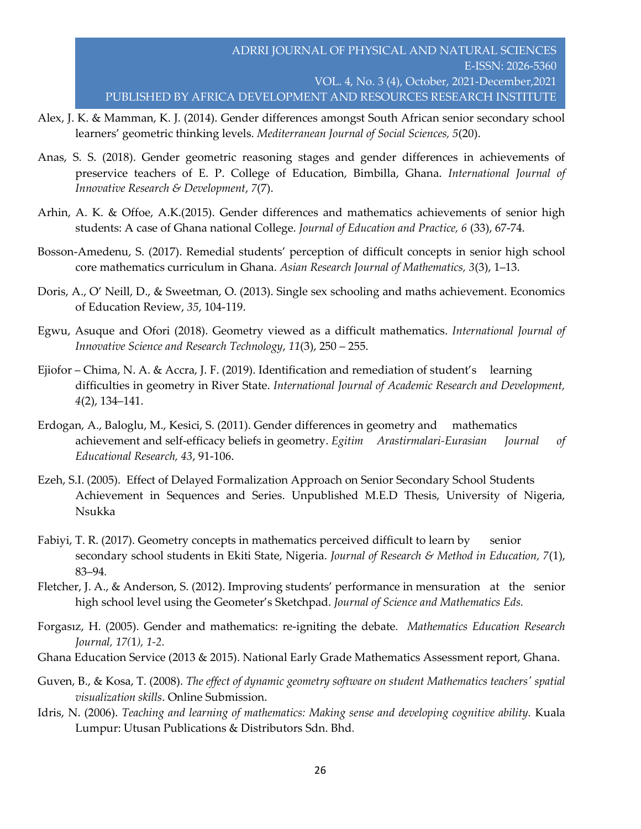- Alex, J. K. & Mamman, K. J. (2014). Gender differences amongst South African senior secondary school learners' geometric thinking levels. *Mediterranean Journal of Social Sciences, 5*(20).
- Anas, S. S. (2018). Gender geometric reasoning stages and gender differences in achievements of preservice teachers of E. P. College of Education, Bimbilla, Ghana. *International Journal of Innovative Research & Development*, *7*(7).
- Arhin, A. K. & Offoe, A.K.(2015). Gender differences and mathematics achievements of senior high students: A case of Ghana national College. *Journal of Education and Practice, 6* (33), 67-74.
- Bosson-Amedenu, S. (2017). Remedial students' perception of difficult concepts in senior high school core mathematics curriculum in Ghana. *Asian Research Journal of Mathematics, 3*(3), 1–13.
- Doris, A., O' Neill, D., & Sweetman, O. (2013). Single sex schooling and maths achievement. Economics of Education Review, *35*, 104-119.
- Egwu, Asuque and Ofori (2018). Geometry viewed as a difficult mathematics. *International Journal of Innovative Science and Research Technology*, *11*(3), 250 – 255.
- Ejiofor Chima, N. A. & Accra, J. F. (2019). Identification and remediation of student's learning difficulties in geometry in River State. *International Journal of Academic Research and Development, 4*(2), 134–141.
- Erdogan, A., Baloglu, M., Kesici, S. (2011). Gender differences in geometry and mathematics achievement and self-efficacy beliefs in geometry. *Egitim Arastirmalari-Eurasian Journal of Educational Research, 43*, 91-106.
- Ezeh, S.I. (2005). Effect of Delayed Formalization Approach on Senior Secondary School Students Achievement in Sequences and Series. Unpublished M.E.D Thesis, University of Nigeria, Nsukka
- Fabiyi, T. R. (2017). Geometry concepts in mathematics perceived difficult to learn by senior secondary school students in Ekiti State, Nigeria. *Journal of Research & Method in Education, 7*(1), 83–94*.*
- Fletcher, J. A., & Anderson, S. (2012). Improving students' performance in mensuration at the senior high school level using the Geometer's Sketchpad. *Journal of Science and Mathematics Eds.*
- Forgasız, H. (2005). Gender and mathematics: re-igniting the debate*. Mathematics Education Research Journal, 17(*1*), 1-2.*
- Ghana Education Service (2013 & 2015). National Early Grade Mathematics Assessment report, Ghana.
- Guven, B., & Kosa, T. (2008). *The effect of dynamic geometry software on student Mathematics teachers' spatial visualization skills*. Online Submission.
- Idris, N. (2006). *Teaching and learning of mathematics: Making sense and developing cognitive ability.* Kuala Lumpur: Utusan Publications & Distributors Sdn. Bhd*.*